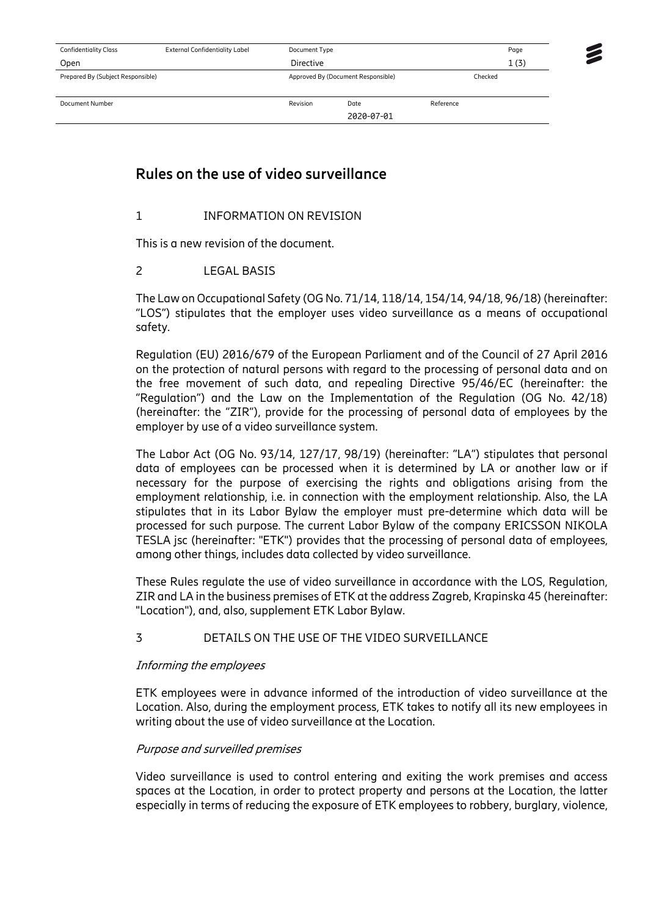| <b>Confidentiality Class</b>      | <b>External Confidentiality Label</b> | Document Type                      |            | Page      |  |
|-----------------------------------|---------------------------------------|------------------------------------|------------|-----------|--|
| Open                              |                                       | Directive                          |            | 1(3)      |  |
| Prepared By (Subject Responsible) |                                       | Approved By (Document Responsible) |            | Checked   |  |
| Document Number                   |                                       | Revision                           | Date       | Reference |  |
|                                   |                                       |                                    | 2020-07-01 |           |  |

# **Rules on the use of video surveillance**

# 1 INFORMATION ON REVISION

This is a new revision of the document.

## 2 LEGAL BASIS

The Law on Occupational Safety (OGNo. 71/14, 118/14, 154/14, 94/18, 96/18) (hereinafter: "LOS") stipulates that the employer uses video surveillance as a means of occupational safety.

Regulation (EU) 2016/679 of the European Parliament and of the Council of 27 April 2016 on the protection of natural persons with regard to the processing of personal data and on the free movement of such data, and repealing Directive 95/46/EC (hereinafter: the "Regulation") and the Law on the Implementation of the Regulation (OG No. 42/18) (hereinafter: the "ZIR"), provide for the processing of personal data of employees by the employer by use of a video surveillance system.

The Labor Act (OG No. 93/14, 127/17, 98/19) (hereinafter: "LA") stipulates that personal data of employees can be processed when it is determined by LA or another law or if necessary for the purpose of exercising the rights and obligations arising from the employment relationship, i.e. in connection with the employment relationship. Also, the LA stipulates that in its Labor Bylaw the employer must pre-determine which data will be processed for such purpose. The current Labor Bylaw of the company ERICSSON NIKOLA TESLA jsc (hereinafter: "ETK") provides that the processing of personal data of employees, among other things, includes data collected by video surveillance.

These Rules regulate the use of video surveillance in accordance with the LOS, Regulation, ZIR and LA in the business premises of ETK at the address Zagreb, Krapinska 45 (hereinafter: "Location"), and, also, supplement ETK Labor Bylaw.

# 3 DETAILS ON THE USE OF THE VIDEO SURVEILLANCE

#### Informing the employees

ETK employees were in advance informed of the introduction of video surveillance at the Location. Also, during the employment process, ETK takes to notify all its new employees in writing about the use of video surveillance at the Location.

#### Purpose and surveilled premises

Video surveillance is used to control entering and exiting the work premises and access spaces at the Location, in order to protect property and persons at the Location, the latter especially in terms of reducing the exposure of ETK employees to robbery, burglary, violence,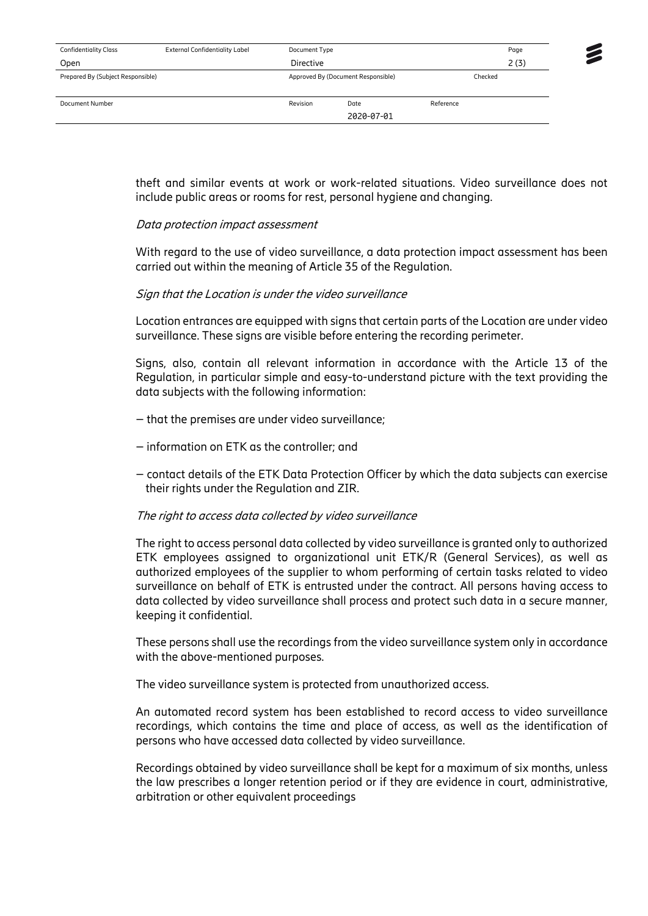| <b>Confidentiality Class</b>      | <b>External Confidentiality Label</b> | Document Type                      | Page       |           |  |
|-----------------------------------|---------------------------------------|------------------------------------|------------|-----------|--|
| Open                              |                                       | Directive                          |            | 2(3)      |  |
| Prepared By (Subject Responsible) |                                       | Approved By (Document Responsible) |            | Checked   |  |
| Document Number                   |                                       | Revision                           | Date       | Reference |  |
|                                   |                                       |                                    | 2020-07-01 |           |  |

theft and similar events at work or work-related situations. Video surveillance does not include public areas or rooms for rest, personal hygiene and changing.

#### Data protection impact assessment

With regard to the use of video surveillance, a data protection impact assessment has been carried out within the meaning of Article 35 of the Regulation.

#### Sign that the Location is under the video surveillance

Location entrances are equipped with signs that certain parts of the Location are under video surveillance. These signs are visible before entering the recording perimeter.

Signs, also, contain all relevant information in accordance with the Article 13 of the Regulation, in particular simple and easy-to-understand picture with the text providing the data subjects with the following information:

- that the premises are under video surveillance;
- information on ETK as the controller; and
- contact details of the ETK Data Protection Officer by which the data subjects can exercise their rights under the Regulation and ZIR.

#### The right to access data collected by video surveillance

The right to access personal data collected by video surveillance is granted only to authorized ETK employees assigned to organizational unit ETK/R (General Services), as well as authorized employees of the supplier to whom performing of certain tasks related to video surveillance on behalf of ETK is entrusted under the contract. All persons having access to data collected by video surveillance shall process and protect such data in a secure manner, keeping it confidential.

These persons shall use the recordings from the video surveillance system only in accordance with the above-mentioned purposes.

The video surveillance system is protected from unauthorized access.

An automated record system has been established to record access to video surveillance recordings, which contains the time and place of access, as well as the identification of persons who have accessed data collected by video surveillance.

Recordings obtained by video surveillance shall be kept for a maximum of six months, unless the law prescribes a longer retention period or if they are evidence in court, administrative, arbitration or other equivalent proceedings